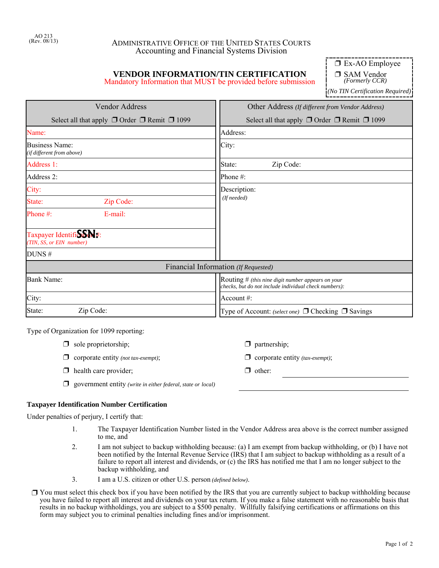## ADMINISTRATIVE OFFICE OF THE UNITED STATES COURTS Accounting and Financial Systems Division

# **VENDOR INFORMATION/TIN CERTIFICATION**

Mandatory Information that MUST be provided before submission

 $\square$  Ex-AO Employee

□ SAM Vendor *(Formerly CCR)*

*(No TIN Certification Required)*

| <b>Vendor Address</b>                                                                                                             | Other Address (If different from Vendor Address)            |  |
|-----------------------------------------------------------------------------------------------------------------------------------|-------------------------------------------------------------|--|
| Select all that apply $\Box$ Order $\Box$ Remit $\Box$ 1099                                                                       | Select all that apply $\Box$ Order $\Box$ Remit $\Box$ 1099 |  |
| Name:                                                                                                                             | Address:                                                    |  |
| Business Name:<br>(if different from above)                                                                                       | City:                                                       |  |
| Address 1:                                                                                                                        | State:<br>Zip Code:                                         |  |
| Address 2:                                                                                                                        | Phone #:                                                    |  |
| City:                                                                                                                             | Description:<br>(If needed)                                 |  |
| State:<br>Zip Code:                                                                                                               |                                                             |  |
| $E$ -mail:<br>Phone $#$ :                                                                                                         |                                                             |  |
| Taxpayer IdentifiSSM#:<br>(TIN, SS, or EIN number)                                                                                |                                                             |  |
| DUNS#                                                                                                                             |                                                             |  |
|                                                                                                                                   | Financial Information (If Requested)                        |  |
| <b>Bank Name:</b><br>Routing $#$ (this nine digit number appears on your<br>checks, but do not include individual check numbers): |                                                             |  |
| City:                                                                                                                             | Account $#$ :                                               |  |
| State:<br>Zip Code:                                                                                                               | Type of Account: (select one) □ Checking □ Savings          |  |

Type of Organization for 1099 reporting:

- $\Box$  sole proprietorship;  $\Box$  partnership;
- $\Box$  corporate entity *(not tax-exempt)*;  $\Box$  corporate entity *(tax-exempt)*;
- $\Box$  health care provider;  $\Box$  other:
- ' government entity *(write in either federal, state or local)*

## **Taxpayer Identification Number Certification**

Under penalties of perjury, I certify that:

- 1. The Taxpayer Identification Number listed in the Vendor Address area above is the correct number assigned to me, and
- 2. I am not subject to backup withholding because: (a) I am exempt from backup withholding, or (b) I have not been notified by the Internal Revenue Service (IRS) that I am subject to backup withholding as a result of a failure to report all interest and dividends, or (c) the IRS has notified me that I am no longer subject to the backup withholding, and
- 3. I am a U.S. citizen or other U.S. person *(defined below)*.
- $\Box$  You must select this check box if you have been notified by the IRS that you are currently subject to backup withholding because you have failed to report all interest and dividends on your tax return. If you make a false statement with no reasonable basis that results in no backup withholdings, you are subject to a \$500 penalty. Willfully falsifying certifications or affirmations on this form may subject you to criminal penalties including fines and/or imprisonment.
- 
-